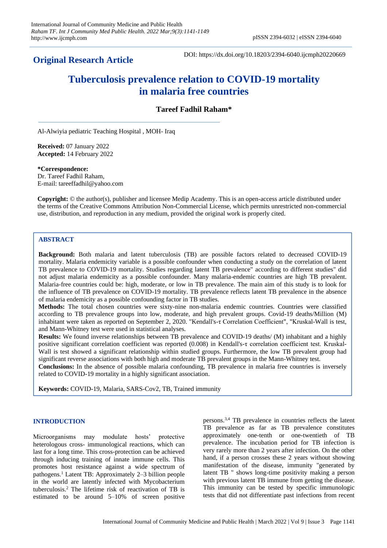## **Original Research Article**

DOI: https://dx.doi.org/10.18203/2394-6040.ijcmph20220669

# **Tuberculosis prevalence relation to COVID-19 mortality in malaria free countries**

## **Tareef Fadhil Raham\***

Al-Alwiyia pediatric Teaching Hospital , MOH- Iraq

**Received:** 07 January 2022 **Accepted:** 14 February 2022

**\*Correspondence:**

Dr. Tareef Fadhil Raham, E-mail: tareeffadhil@yahoo.com

**Copyright:** © the author(s), publisher and licensee Medip Academy. This is an open-access article distributed under the terms of the Creative Commons Attribution Non-Commercial License, which permits unrestricted non-commercial use, distribution, and reproduction in any medium, provided the original work is properly cited.

## **ABSTRACT**

**Background:** Both malaria and latent tuberculosis (TB) are possible factors related to decreased COVID-19 mortality. Malaria endemicity variable is a possible confounder when conducting a study on the correlation of latent TB prevalence to COVID-19 mortality. Studies regarding latent TB prevalence" according to different studies" did not adjust malaria endemicity as a possible confounder. Many malaria-endemic countries are high TB prevalent. Malaria-free countries could be: high, moderate, or low in TB prevalence. The main aim of this study is to look for the influence of TB prevalence on COVID-19 mortality. TB prevalence reflects latent TB prevalence in the absence of malaria endemicity as a possible confounding factor in TB studies.

**Methods:** The total chosen countries were sixty-nine non-malaria endemic countries. Countries were classified according to TB prevalence groups into low, moderate, and high prevalent groups. Covid-19 deaths/Million (M) inhabitant were taken as reported on September 2, 2020. "Kendall's-τ Correlation Coefficient", "Kruskal-Wall is test, and Mann-Whitney test were used in statistical analyses.

**Results:** We found inverse relationships between TB prevalence and COVID-19 deaths/ (M) inhabitant and a highly positive significant correlation coefficient was reported (0.008) in Kendall's-τ correlation coefficient test. Kruskal-Wall is test showed a significant relationship within studied groups. Furthermore, the low TB prevalent group had significant reverse associations with both high and moderate TB prevalent groups in the Mann-Whitney test.

**Conclusions:** In the absence of possible malaria confounding, TB prevalence in malaria free countries is inversely related to COVID-19 mortality in a highly significant association.

**Keywords:** COVID-19, Malaria, SARS-Cov2, TB, Trained immunity

#### **INTRODUCTION**

Microorganisms may modulate hosts' protective heterologous cross- immunological reactions, which can last for a long time. This cross-protection can be achieved through inducing training of innate immune cells. This promotes host resistance against a wide spectrum of pathogens.<sup>1</sup> Latent TB: Approximately 2–3 billion people in the world are latently infected with Mycobacterium tuberculosis.<sup>2</sup> The lifetime risk of reactivation of TB is estimated to be around 5–10% of screen positive

persons. 3,4 TB prevalence in countries reflects the latent TB prevalence as far as TB prevalence constitutes approximately one-tenth or one-twentieth of TB prevalence. The incubation period for TB infection is very rarely more than 2 years after infection. On the other hand, if a person crosses these 2 years without showing manifestation of the disease, immunity "generated by latent TB " shows long-time positivity making a person with previous latent TB immune from getting the disease. This immunity can be tested by specific immunologic tests that did not differentiate past infections from recent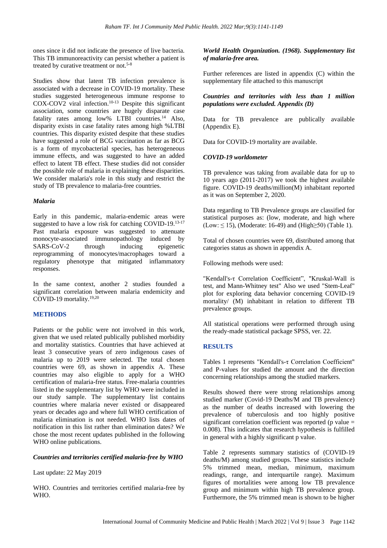ones since it did not indicate the presence of live bacteria. This TB immunoreactivity can persist whether a patient is treated by curative treatment or not.5-8

Studies show that latent TB infection prevalence is associated with a decrease in COVID-19 mortality. These studies suggested heterogeneous immune response to COX-COV2 viral infection.10-13 Despite this significant association, some countries are hugely disparate case fatality rates among low% LTBI countries.<sup>14</sup> Also, disparity exists in case fatality rates among high %LTBI countries. This disparity existed despite that these studies have suggested a role of BCG vaccination as far as BCG is a form of mycobacterial species, has heterogeneous immune effects, and was suggested to have an added effect to latent TB effect. These studies did not consider the possible role of malaria in explaining these disparities. We consider malaria's role in this study and restrict the study of TB prevalence to malaria-free countries.

#### *Malaria*

Early in this pandemic, malaria-endemic areas were suggested to have a low risk for catching COVID-19.<sup>13-17</sup> Past malaria exposure was suggested to attenuate monocyte-associated immunopathology induced by SARS-CoV-2 through inducing epigenetic reprogramming of monocytes/macrophages toward a regulatory phenotype that mitigated inflammatory responses.

In the same context, another 2 studies founded a significant correlation between malaria endemicity and COVID-19 mortality.19,20

## **METHODS**

Patients or the public were not involved in this work, given that we used related publically published morbidity and mortality statistics. Countries that have achieved at least 3 consecutive years of zero indigenous cases of malaria up to 2019 were selected. The total chosen countries were 69, as shown in appendix A. These countries may also eligible to apply for a WHO certification of malaria-free status. Free-malaria countries listed in the supplementary list by WHO were included in our study sample. The supplementary list contains countries where malaria never existed or disappeared years or decades ago and where full WHO certification of malaria elimination is not needed. WHO lists dates of notification in this list rather than elimination dates? We chose the most recent updates published in the following WHO online publications.

## *Countries and territories certified malaria-free by WHO*

Last update: 22 May 2019

WHO. Countries and territories certified malaria-free by WHO.

## *World Health Organization. (1968). Supplementary list of malaria-free area.*

Further references are listed in appendix (C) within the supplementary file attached to this manuscript

## *Countries and territories with less than 1 million populations were excluded. Appendix (D)*

Data for TB prevalence are publically available (Appendix E).

Data for COVID-19 mortality are available.

## *COVID-19 worldometer*

TB prevalence was taking from available data for up to 10 years ago (2011-2017) we took the highest available figure. COVID-19 deaths/million(M) inhabitant reported as it was on September 2, 2020.

Data regarding to TB Prevalence groups are classified for statistical purposes as: (low, moderate, and high where (Low:  $\leq$  15), (Moderate: 16-49) and (High $\geq$ 50) (Table 1).

Total of chosen countries were 69, distributed among that categories status as shown in appendix A.

Following methods were used:

"Kendall's-τ Correlation Coefficient", "Kruskal-Wall is test, and Mann-Whitney test" Also we used "Stem-Leaf" plot for exploring data behavior concerning COVID-19 mortality/ (M) inhabitant in relation to different TB prevalence groups.

All statistical operations were performed through using the ready-made statistical package SPSS, ver. 22.

## **RESULTS**

Tables 1 represents "Kendall's-τ Correlation Coefficient" and P-values for studied the amount and the direction concerning relationships among the studied markers.

Results showed there were strong relationships among studied marker (Covid-19 Deaths/M and TB prevalence) as the number of deaths increased with lowering the prevalence of tuberculosis and too highly positive significant correlation coefficient was reported ( $p$  value  $=$ 0.008). This indicates that research hypothesis is fulfilled in general with a highly significant p value.

Table 2 represents summary statistics of (COVID-19 deaths/M) among studied groups. These statistics include 5% trimmed mean, median, minimum, maximum readings, range, and interquartile range). Maximum figures of mortalities were among low TB prevalence group and minimum within high TB prevalence group. Furthermore, the 5% trimmed mean is shown to be higher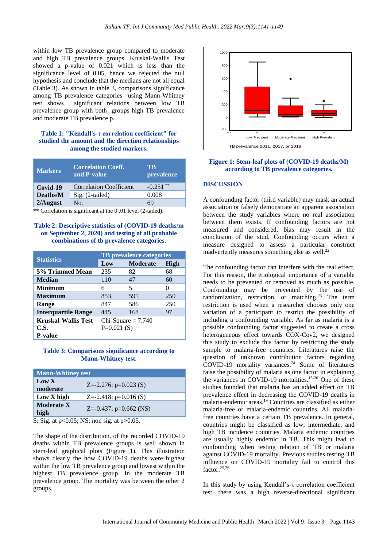within low TB prevalence group compared to moderate and high TB prevalence groups. Kruskal-Wallis Test showed a p-value of 0.021 which is less than the significance level of 0.05, hence we rejected the null hypothesis and conclude that the medians are not all equal (Table 3). As shown in table 3, comparisons significance among TB prevalence categories using Mann-Whitney test shows significant relations between low TB prevalence group with both groups high TB prevalence and moderate TB prevalence p. Pear<br>ar<br>sir<br>bia

## **Table 1: "Kendall's-τ correlation coefficient" for studied the amount and the direction relationships among the studied markers.**

| <b>Markers</b> | <b>Correlation Coeff.</b><br>and P-value | TB.<br>prevalence |
|----------------|------------------------------------------|-------------------|
| Covid-19       | <b>Correlation Coefficient</b>           | **<br>$-0.251$    |
| Deaths/M       | Sig. (2-tailed)                          | 0.008             |
| $2/A$ ugust    | No.                                      | 69                |

\*\* Correlation is significant at the 0 .01 level (2-tailed).

## **Table 2: Descriptive statistics of (COVID-19 deaths/m on September 2, 2020) and testing of all probable combinations of tb prevalence categories**.

|                            | <b>TB</b> prevalence categories |                 |              |
|----------------------------|---------------------------------|-----------------|--------------|
| <b>Statistics</b>          | Low                             | <b>Moderate</b> | High         |
| 5% Trimmed Mean            | 235                             | 82              | 68           |
| <b>Median</b>              | 110                             | 47              | 60           |
| <b>Minimum</b>             | 6                               | 5               | $\mathbf{0}$ |
| <b>Maximum</b>             | 853                             | 591             | 250          |
| Range                      | 847                             | 586             | 250          |
| <b>Interquartile Range</b> | 445                             | 168             | 97           |
| <b>Kruskal-Wallis Test</b> | Chi-Square $= 7.740$            |                 |              |
| <b>C.S.</b>                | $P=0.021(S)$                    |                 |              |
| <b>P-value</b>             |                                 |                 |              |

#### **Table 3: Comparisons significance according to Mann-Whitney test.**

| <b>Mann-Whitney test</b>  |                            |
|---------------------------|----------------------------|
| Low X<br>moderate         | $Z = -2.276$ ; p=0.023 (S) |
| Low X high                | $Z = -2.418$ ; p=0.016 (S) |
| <b>Moderate X</b><br>high | $Z=-0.437$ ; p=0.662 (NS)  |

S: Sig. at p<0.05; NS: non sig. at p>0.05.

The shape of the distribution. of the recorded COVID-19 deaths within TB prevalence groups is well shown in stem-leaf graphical plots (Figure 1). This illustration shows clearly the how COVID-19 deaths were highest within the low TB prevalence group and lowest within the highest TB prevalence group. In the moderate TB prevalence group. The mortality was between the other 2 groups.



#### **Figure 1: Stem-leaf plots of (COVID-19 deaths/M) according to TB prevalence categories.**

#### **DISCUSSION**

A confounding factor (third variable) may mask an actual association or falsely demonstrate an apparent association between the study variables where no real association between them exists. If confounding factors are not measured and considered, bias may result in the conclusion of the stud. Confounding occurs when a measure designed to assess a particular construct inadvertently measures something else as well.<sup>22</sup>

The confounding factor can interfere with the real effect. For this reason, the etiological importance of a variable needs to be prevented or removed as much as possible. Confounding may be prevented by the use of randomization, restriction, or matching.<sup>23</sup> The term restriction is used when a researcher chooses only one variation of a participant to restrict the possibility of including a confounding variable. As far as malaria is a possible confounding factor suggested to create a cross heterogeneous effect towards COX-Cov2, we designed this study to exclude this factor by restricting the study sample to malaria-free countries. Literatures raise the question of unknown contribution factors regarding COVID-19 mortality variances.<sup>24</sup> Some of literatures raise the possibility of malaria as one factor in explaining the variances in COVID-19 mortalities.<sup>13-20</sup> One of these studies founded that malaria has an added effect on TB prevalence effect in decreasing the COVID-19 deaths in malaria-endemic areas.<sup>19</sup> Countries are classified as either malaria-free or malaria-endemic countries. All malariafree countries have a certain TB prevalence. In general, countries might be classified as low, intermediate, and high TB incidence countries. Malaria endemic countries are usually highly endemic in TB. This might lead to confounding when testing relation of TB or malaria against COVID-19 mortality. Previous studies testing TB influence on COVID-19 mortality fail to control this factor.25,26

In this study by using Kendall's-τ correlation coefficient test, there was a high reverse-directional significant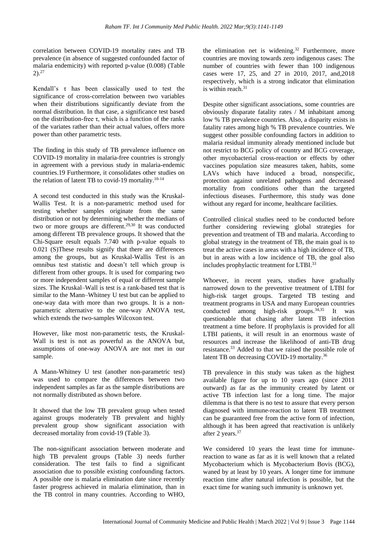correlation between COVID-19 mortality rates and TB prevalence (in absence of suggested confounded factor of malaria endemicity) with reported p-value (0.008) (Table  $2)$ <sup>27</sup>

Kendall's  $\tau$  has been classically used to test the significance of cross-correlation between two variables when their distributions significantly deviate from the normal distribution. In that case, a significance test based on the distribution-free τ, which is a function of the ranks of the variates rather than their actual values, offers more power than other parametric tests.

The finding in this study of TB prevalence influence on COVID-19 mortality in malaria-free countries is strongly in agreement with a previous study in malaria-endemic countries.19 Furthermore, it consolidates other studies on the relation of latent TB to covid-19 mortality. $10-14$ 

A second test conducted in this study was the Kruskal-Wallis Test. It is a non-parametric method used for testing whether samples originate from the same distribution or not by determining whether the medians of two or more groups are different.29,30 It was conducted among different TB prevalence groups. It showed that the Chi-Square result equals 7.740 with p-value equals to 0.021 (S)These results signify that there are differences among the groups, but as Kruskal-Wallis Test is an omnibus test statistic and doesn't tell which group is different from other groups. It is used for comparing two or more independent samples of equal or different sample sizes. The Kruskal–Wall is test is a rank-based test that is similar to the Mann–Whitney U test but can be applied to one-way data with more than two groups. It is a nonparametric alternative to the one-way ANOVA test, which extends the two-samples Wilcoxon test.

However, like most non-parametric tests, the Kruskal-Wall is test is not as powerful as the ANOVA but, assumptions of one-way ANOVA are not met in our sample.

A Mann-Whitney U test (another non-parametric test) was used to compare the differences between two independent samples as far as the sample distributions are not normally distributed as shown before.

It showed that the low TB prevalent group when tested against groups moderately TB prevalent and highly prevalent group show significant association with decreased mortality from covid-19 (Table 3).

The non-significant association between moderate and high TB prevalent groups (Table 3) needs further consideration. The test fails to find a significant association due to possible existing confounding factors. A possible one is malaria elimination date since recently faster progress achieved in malaria elimination, than in the TB control in many countries. According to WHO,

the elimination net is widening.<sup>32</sup> Furthermore, more countries are moving towards zero indigenous cases: The number of countries with fewer than 100 indigenous cases were 17, 25, and 27 in 2010, 2017, and,2018 respectively, which is a strong indicator that elimination is within reach. $31$ 

Despite other significant associations, some countries are obviously disparate fatality rates / M inhabitant among low % TB prevalence countries. Also, a disparity exists in fatality rates among high % TB prevalence countries. We suggest other possible confounding factors in addition to malaria residual immunity already mentioned include but not restrict to BCG policy of country and BCG coverage, other mycobacterial cross-reaction or effects by other vaccines population size measures taken, habits, some LAVs which have induced a broad, nonspecific, protection against unrelated pathogens and decreased mortality from conditions other than the targeted infectious diseases. Furthermore, this study was done without any regard for income, healthcare facilities.

Controlled clinical studies need to be conducted before further considering reviewing global strategies for prevention and treatment of TB and malaria. According to global strategy in the treatment of TB, the main goal is to treat the active cases in areas with a high incidence of TB, but in areas with a low incidence of TB, the goal also includes prophylactic treatment for LTBI. 33

Whoever, in recent years, studies have gradually narrowed down to the preventive treatment of LTBI for high-risk target groups. Targeted TB testing and treatment programs in USA and many European countries conducted among high-risk groups.34,35 It was questionable that chasing after latent TB infection treatment a time before. If prophylaxis is provided for all LTBI patients, it will result in an enormous waste of resources and increase the likelihood of anti-TB drug resistance.<sup>33</sup> Added to that we raised the possible role of latent TB on decreasing COVID-19 mortality.<sup>36</sup>

TB prevalence in this study was taken as the highest available figure for up to 10 years ago (since 2011 outward) as far as the immunity created by latent or active TB infection last for a long time. The major dilemma is that there is no test to assure that every person diagnosed with immune-reaction to latent TB treatment can be guaranteed free from the active form of infection, although it has been agreed that reactivation is unlikely after 2 years.<sup>37</sup>

We considered 10 years the least time for immunereaction to wane as far as it is well known that a related Mycobacterium which is Mycobacterium Bovis (BCG), waned by at least by 10 years. A longer time for immune reaction time after natural infection is possible, but the exact time for waning such immunity is unknown yet.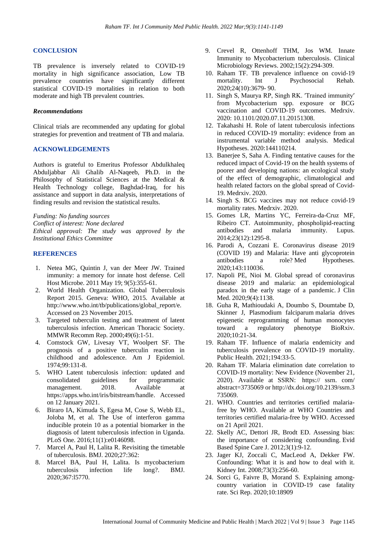#### **CONCLUSION**

TB prevalence is inversely related to COVID-19 mortality in high significance association, Low TB prevalence countries have significantly different statistical COVID-19 mortalities in relation to both moderate and high TB prevalent countries.

#### *Recommendations*

Clinical trials are recommended any updating for global strategies for prevention and treatment of TB and malaria.

#### **ACKNOWLEDGEMENTS**

Authors is grateful to Emeritus Professor Abdulkhaleq Abduljabbar Ali Ghalib Al-Naqeeb, Ph.D. in the Philosophy of Statistical Sciences at the Medical & Health Technology college, Baghdad-Iraq, for his assistance and support in data analysis, interpretations of finding results and revision the statistical results.

*Funding: No funding sources Conflict of interest: None declared*

*Ethical approval: The study was approved by the Institutional Ethics Committee*

## **REFERENCES**

- 1. Netea MG, Quintin J, van der Meer JW. Trained immunity: a memory for innate host defense. Cell Host Microbe. 2011 May 19; 9(5):355-61.
- 2. World Health Organization. Global Tuberculosis Report 2015. Geneva: WHO, 2015. Available at http://www.who.int/tb/publications/global\_report/e. Accessed on 23 November 2015.
- 3. Targeted tuberculin testing and treatment of latent tuberculosis infection. American Thoracic Society. MMWR Recomm Rep. 2000;49(6):1-51.
- 4. Comstock GW, Livesay VT, Woolpert SF. The prognosis of a positive tuberculin reaction in childhood and adolescence. Am J Epidemiol. 1974;99:131-8.
- 5. WHO Latent tuberculosis infection: updated and consolidated guidelines for programmatic management. 2018. Available at https://apps.who.int/iris/bitstream/handle. Accessed on 12 January 2021.
- 6. Biraro IA, Kimuda S, Egesa M, Cose S, Webb EL, Joloba M, et al. The Use of interferon gamma inducible protein 10 as a potential biomarker in the diagnosis of latent tuberculosis infection in Uganda. PLoS One. 2016;11(1):e0146098.
- 7. Marcel A, Paul H, Lalita R. Revisiting the timetable of tuberculosis. BMJ. 2020;27:362:
- 8. Marcel BA, Paul H, Lalita. Is mycobacterium tuberculosis infection life long?. BMJ. 2020;367:l5770.
- 9. Crevel R, Ottenhoff THM, Jos WM. Innate Immunity to Mycobacterium tuberculosis. Clinical Microbiology Reviews. 2002;15(2):294-309.
- 10. Raham TF. TB prevalence influence on covid-19 mortality. Int J Psychosocial Rehab. 2020;24(10):3679- 90.
- 11. Singh S, Maurya RP, Singh RK. ′Trained immunity′ from Mycobacterium spp. exposure or BCG vaccination and COVID-19 outcomes. Medrxiv. 2020: 10.1101/2020.07.11.20151308.
- 12. Takahashi H. Role of latent tuberculosis infections in reduced COVID-19 mortality: evidence from an instrumental variable method analysis. Medical Hypotheses. 2020:144110214.
- 13. Banerjee S, Saha A. Finding tentative causes for the reduced impact of Covid-19 on the health systems of poorer and developing nations: an ecological study of the effect of demographic, climatological and health related factors on the global spread of Covid-19. Medrxiv. 2020.
- 14. Singh S. BCG vaccines may not reduce covid-19 mortality rates. Medrxiv. 2020.
- 15. Gomes LR, Martins YC, Ferreira-da-Cruz MF, Ribeiro CT. Autoimmunity, phospholipid-reacting antibodies and malaria immunity. Lupus. 2014;23(12):1295-8.
- 16. Parodi A, Cozzani E. Coronavirus disease 2019 (COVID 19) and Malaria: Have anti glycoprotein antibodies a role? Med Hypotheses. 2020;143:110036.
- 17. Napoli PE, Nioi M. Global spread of coronavirus disease 2019 and malaria: an epidemiological paradox in the early stage of a pandemic. J Clin Med. 2020;9(4):1138.
- 18. Guha R, Mathioudaki A, Doumbo S, Doumtabe D, Skinner J, Plasmodium falciparum malaria drives epigenetic reprogramming of human monocytes toward a regulatory phenotype BioRxiv. 2020;10:21-34.
- 19. Raham TF. Influence of malaria endemicity and tuberculosis prevalence on COVID-19 mortality. Public Health. 2021;194:33-5.
- 20. Raham TF. Malaria elimination date correlation to COVID-19 mortality: New Evidence (November 21, 2020). Available at SSRN: https:// ssrn. com/ abstract=3735069 or [http://dx.doi.org/10.2139/ssrn.3](https://dx.doi.org/10.2139/ssrn.3735069) [735069.](https://dx.doi.org/10.2139/ssrn.3735069)
- 21. WHO. Countries and territories certified malariafree by WHO. Available at [WHO Countries and](https://www.who.int/malaria/areas/elimination/malaria-free-countries/en/#:~:text=Certification%20of%20malaria%20elimination%2C%201955%E2%80%932019%20%20%20,%20%20%20%2089%20more%20rows%20)  [territories certified malaria-free by WHO.](https://www.who.int/malaria/areas/elimination/malaria-free-countries/en/#:~:text=Certification%20of%20malaria%20elimination%2C%201955%E2%80%932019%20%20%20,%20%20%20%2089%20more%20rows%20) Accessed on 21 April 2021.
- 22. Skelly AC, Dettori JR, Brodt ED. Assessing bias: the importance of considering confounding. Evid Based Spine Care J. 2012;3(1):9-12.
- 23. Jager KJ, Zoccali C, MacLeod A, Dekker FW. Confounding: What it is and how to deal with it. Kidney Int. 2008;73(3):256-60.
- 24. Sorci G, Faivre B, Morand S. Explaining amongcountry variation in COVID-19 case fatality rate. Sci Rep. 2020;10:18909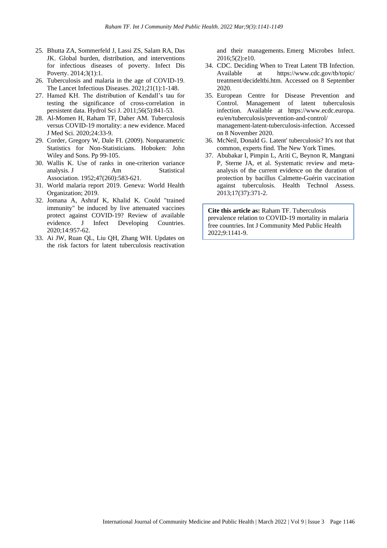- 25. Bhutta ZA, Sommerfeld J, Lassi ZS, Salam RA, Das JK. Global burden, distribution, and interventions for infectious diseases of poverty. Infect Dis Poverty. 2014;3(1):1.
- 26. Tuberculosis and malaria in the age of COVID-19. The Lancet Infectious Diseases. 2021;21(1):1-148.
- 27. Hamed KH. The distribution of Kendall's tau for testing the significance of cross-correlation in persistent data. Hydrol Sci J. 2011;56(5):841-53.
- 28. Al-Momen H, Raham TF, Daher AM. Tuberculosis versus COVID-19 mortality: a new evidence. Maced J Med Sci. 2020;24:33-9.
- 29. Corder, Gregory W, Dale FI. (2009). [Nonparametric](https://archive.org/details/nonparametricsta00cord)  [Statistics for Non-Statisticians.](https://archive.org/details/nonparametricsta00cord) Hoboken: John Wiley and Sons. P[p 99-](https://archive.org/details/nonparametricsta00cord/page/n114)105.
- 30. Wallis K. Use of ranks in one-criterion variance analysis. [J Am Statistical](https://en.wikipedia.org/wiki/Journal_of_the_American_Statistical_Association)  [Association.](https://en.wikipedia.org/wiki/Journal_of_the_American_Statistical_Association) 1952;47(260):583-621.
- 31. World malaria report 2019. Geneva: World Health Organization; 2019.
- 32. Jomana A, Ashraf K, Khalid K. Could "trained immunity" be induced by live attenuated vaccines protect against COVID-19? Review of available evidence. J Infect Developing Countries. 2020;14:957-62.
- 33. Ai JW, Ruan QL, Liu QH, Zhang WH. Updates on the risk factors for latent tuberculosis reactivation

and their managements. Emerg Microbes Infect. 2016;5(2):e10.

- 34. CDC. Deciding When to Treat Latent TB Infection. Available at https://www.cdc.gov/tb/topic/ treatment/decideltbi.htm. Accessed on 8 September 2020.
- 35. European Centre for Disease Prevention and Control. Management of latent tuberculosis infection. Available at https://www.ecdc.europa. eu/en/tuberculosis/prevention-and-control/ management-latent-tuberculosis-infection. Accessed on 8 November 2020.
- 36. McNeil, Donald G. [Latent' tuberculosis? It's not that](https://www.nytimes.com/2018/09/20/health/latent-tuburculosis-deaths.html)  [common, experts find.](https://www.nytimes.com/2018/09/20/health/latent-tuburculosis-deaths.html) The New York Times.
- 37. Abubakar I, Pimpin L, Ariti C, Beynon R, Mangtani P, Sterne JA, et al. Systematic review and metaanalysis of the current evidence on the duration of protection by bacillus Calmette-Guérin vaccination against tuberculosis. Health Technol Assess. 2013;17(37):371-2.

**Cite this article as:** Raham TF. Tuberculosis prevalence relation to COVID-19 mortality in malaria free countries. Int J Community Med Public Health 2022;9:1141-9.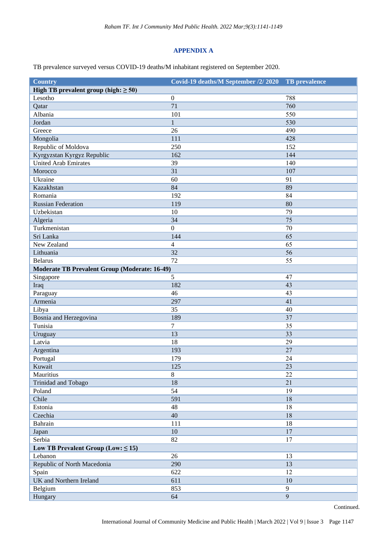## **APPENDIX A**

TB prevalence surveyed versus COVID-19 deaths/M inhabitant registered on September 2020.

| <b>Country</b>                                       | Covid-19 deaths/M September /2/ 2020 | TB prevalence |
|------------------------------------------------------|--------------------------------------|---------------|
| High TB prevalent group (high: $\geq 50$ )           |                                      |               |
| Lesotho                                              | $\boldsymbol{0}$                     | 788           |
| Qatar                                                | 71                                   | 760           |
| Albania                                              | 101                                  | 550           |
| Jordan                                               | $\mathbf{1}$                         | 530           |
| Greece                                               | 26                                   | 490           |
| Mongolia                                             | 111                                  | 428           |
| Republic of Moldova                                  | 250                                  | 152           |
| Kyrgyzstan Kyrgyz Republic                           | 162                                  | 144           |
| <b>United Arab Emirates</b>                          | 39                                   | 140           |
| Morocco                                              | 31                                   | 107           |
| Ukraine                                              | 60                                   | 91            |
| Kazakhstan                                           | 84                                   | 89            |
| Romania                                              | 192                                  | 84            |
| <b>Russian Federation</b>                            | 119                                  | 80            |
| Uzbekistan                                           | 10                                   | 79            |
| Algeria                                              | 34                                   | 75            |
| Turkmenistan                                         | $\boldsymbol{0}$                     | 70            |
| Sri Lanka                                            | 144                                  | 65            |
| New Zealand                                          | 4                                    | 65            |
| Lithuania                                            | 32                                   | 56            |
| <b>Belarus</b>                                       | 72                                   | 55            |
| <b>Moderate TB Prevalent Group (Moderate: 16-49)</b> |                                      |               |
| Singapore                                            | 5                                    | 47            |
| Iraq                                                 | 182                                  | 43            |
| Paraguay                                             | 46                                   | 43            |
| Armenia                                              | 297                                  | 41            |
| Libya                                                | 35                                   | 40            |
| Bosnia and Herzegovina                               | 189                                  | 37            |
| Tunisia                                              | 7                                    | 35            |
| Uruguay                                              | 13                                   | 33            |
| Latvia                                               | 18                                   | 29            |
| Argentina                                            | 193                                  | 27            |
| Portugal                                             | 179                                  | 24            |
| Kuwait                                               | 125                                  | 23            |
| Mauritius                                            | 8                                    | 22            |
| Trinidad and Tobago                                  | 18                                   | 21            |
| Poland                                               | 54                                   | 19            |
| Chile                                                | 591                                  | 18            |
| Estonia                                              | 48                                   | 18            |
| Czechia                                              | 40                                   | 18            |
| Bahrain                                              | 111                                  | 18            |
| Japan                                                | 10                                   | 17            |
| Serbia                                               | 82                                   | 17            |
| Low TB Prevalent Group (Low: $\leq$ 15)              |                                      |               |
| Lebanon                                              | 26                                   | 13            |
| Republic of North Macedonia                          | 290                                  | 13            |
| Spain                                                | 622                                  | 12            |
| <b>UK</b> and Northern Ireland                       | 611                                  | 10            |
| Belgium                                              | 853                                  | 9             |
| Hungary                                              | 64                                   | 9             |
|                                                      |                                      |               |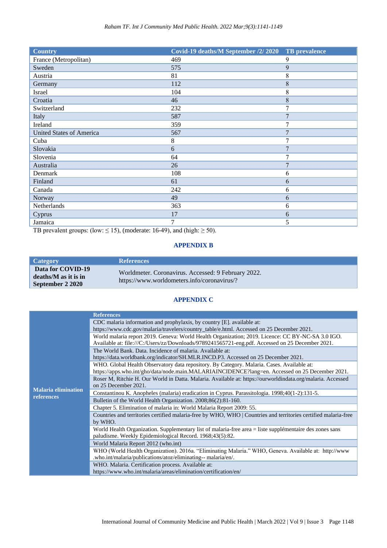| <b>Country</b>                  | Covid-19 deaths/M September /2/ 2020 | <b>TB</b> prevalence |
|---------------------------------|--------------------------------------|----------------------|
| France (Metropolitan)           | 469                                  | 9                    |
| Sweden                          | 575                                  | 9                    |
| Austria                         | 81                                   | 8                    |
| Germany                         | 112                                  | 8                    |
| Israel                          | 104                                  | 8                    |
| Croatia                         | 46                                   | 8                    |
| Switzerland                     | 232                                  | 7                    |
| Italy                           | 587                                  | 7                    |
| Ireland                         | 359                                  | 7                    |
| <b>United States of America</b> | 567                                  | $\overline{7}$       |
| Cuba                            | 8                                    | 7                    |
| Slovakia                        | 6                                    | 7                    |
| Slovenia                        | 64                                   | 7                    |
| Australia                       | 26                                   | 7                    |
| Denmark                         | 108                                  | 6                    |
| Finland                         | 61                                   | 6                    |
| Canada                          | 242                                  | 6                    |
| Norway                          | 49                                   | 6                    |
| Netherlands                     | 363                                  | 6                    |
| Cyprus                          | 17                                   | 6                    |
| Jamaica                         | 7                                    | 5                    |

TB prevalent groups: (low:  $\leq$  15), (moderate: 16-49), and (high:  $\geq$  50).

## **APPENDIX B**

| <b>Category</b>                                               | <b>References</b>                                                                                  |
|---------------------------------------------------------------|----------------------------------------------------------------------------------------------------|
| Data for COVID-19<br>deaths/M as it is in<br>September 2 2020 | Worldmeter. Coronavirus. Accessed: 9 February 2022.<br>https://www.worldometers.info/coronavirus/? |

## **APPENDIX C**

|                            | <b>References</b>                                                                                               |
|----------------------------|-----------------------------------------------------------------------------------------------------------------|
|                            | CDC malaria information and prophylaxis, by country [E]. available at:                                          |
|                            | https://www.cdc.gov/malaria/travelers/country_table/e.html. Accessed on 25 December 2021.                       |
|                            | World malaria report 2019. Geneva: World Health Organization; 2019. Licence: CC BY-NC-SA 3.0 IGO.               |
|                            | Available at: file:///C:/Users/zz/Downloads/9789241565721-eng.pdf. Accessed on 25 December 2021.                |
|                            | The World Bank, Data. Incidence of malaria. Available at:                                                       |
|                            | https://data.worldbank.org/indicator/SH.MLR.INCD.P3. Accessed on 25 December 2021.                              |
|                            | WHO. Global Health Observatory data repository. By Category. Malaria. Cases. Available at:                      |
|                            | https://apps.who.int/gho/data/node.main.MALARIAINCIDENCE?lang=en. Accessed on 25 December 2021.                 |
|                            | Roser M, Ritchie H. Our World in Datta. Malaria. Available at: https://ourworldindata.org/malaria. Accessed     |
| <b>Malaria elimination</b> | on 25 December 2021.                                                                                            |
| references                 | Constantinou K. Anopheles (malaria) eradication in Cyprus. Parassitologia. 1998;40(1-2):131-5.                  |
|                            | Bulletin of the World Health Organization. 2008;86(2):81-160.                                                   |
|                            | Chapter 5. Elimination of malaria in: World Malaria Report 2009: 55.                                            |
|                            | Countries and territories certified malaria-free by WHO, WHO   Countries and territories certified malaria-free |
|                            | by WHO.                                                                                                         |
|                            | World Health Organization. Supplementary list of malaria-free area = liste supplementaire des zones sans        |
|                            | paludisme. Weekly Epidemiological Record. 1968;43(5):82.                                                        |
|                            | World Malaria Report 2012 (who.int)                                                                             |
|                            | WHO (World Health Organization). 2016a. "Eliminating Malaria." WHO, Geneva. Available at: http://www            |
|                            | .who.int/malaria/publications/atoz/eliminating-- malaria/en/.                                                   |
|                            | WHO. Malaria. Certification process. Available at:                                                              |
|                            | https://www.who.int/malaria/areas/elimination/certification/en/                                                 |